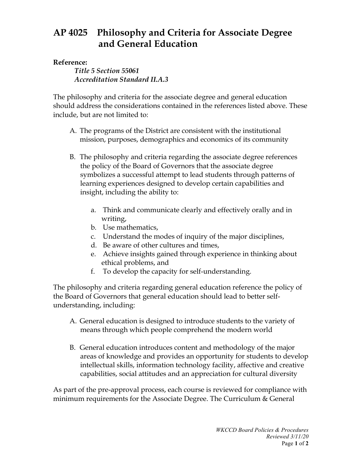## **AP 4025 Philosophy and Criteria for Associate Degree and General Education**

## **Reference:**

*Title 5 Section 55061 Accreditation Standard II.A.3*

The philosophy and criteria for the associate degree and general education should address the considerations contained in the references listed above. These include, but are not limited to:

- A. The programs of the District are consistent with the institutional mission, purposes, demographics and economics of its community
- B. The philosophy and criteria regarding the associate degree references the policy of the Board of Governors that the associate degree symbolizes a successful attempt to lead students through patterns of learning experiences designed to develop certain capabilities and insight, including the ability to:
	- a. Think and communicate clearly and effectively orally and in writing,
	- b. Use mathematics,
	- c. Understand the modes of inquiry of the major disciplines,
	- d. Be aware of other cultures and times,
	- e. Achieve insights gained through experience in thinking about ethical problems, and
	- f. To develop the capacity for self-understanding.

The philosophy and criteria regarding general education reference the policy of the Board of Governors that general education should lead to better selfunderstanding, including:

- A. General education is designed to introduce students to the variety of means through which people comprehend the modern world
- B. General education introduces content and methodology of the major areas of knowledge and provides an opportunity for students to develop intellectual skills, information technology facility, affective and creative capabilities, social attitudes and an appreciation for cultural diversity

As part of the pre-approval process, each course is reviewed for compliance with minimum requirements for the Associate Degree. The Curriculum & General